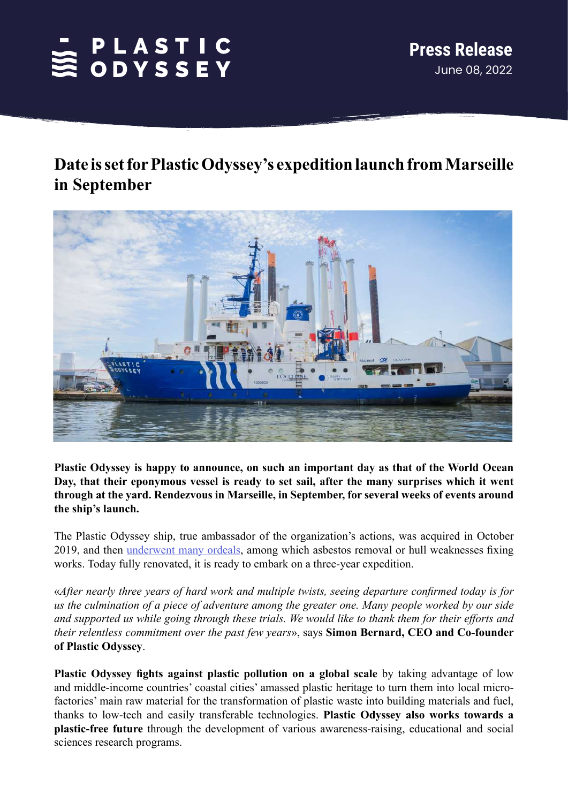# SPLASTIC<br>SODYSSEY

## **Date is set for Plastic Odyssey's expedition launch from Marseille in September**



**Plastic Odyssey is happy to announce, on such an important day as that of the World Ocean Day, that their eponymous vessel is ready to set sail, after the many surprises which it went through at the yard. Rendezvous in Marseille, in September, for several weeks of events around the ship's launch.**

The Plastic Odyssey ship, true ambassador of the organization's actions, was acquired in October 2019, and then [underwent many ordeals](https://plasticodyssey.org/en/plastic-pollution-expedition/), among which asbestos removal or hull weaknesses fixing works. Today fully renovated, it is ready to embark on a three-year expedition.

«*After nearly three years of hard work and multiple twists, seeing departure confirmed today is for us the culmination of a piece of adventure among the greater one. Many people worked by our side and supported us while going through these trials. We would like to thank them for their efforts and their relentless commitment over the past few years*», says **Simon Bernard, CEO and Co-founder of Plastic Odyssey**.

**Plastic Odyssey fights against plastic pollution on a global scale** by taking advantage of low and middle-income countries' coastal cities' amassed plastic heritage to turn them into local microfactories' main raw material for the transformation of plastic waste into building materials and fuel, thanks to low-tech and easily transferable technologies. **Plastic Odyssey also works towards a plastic-free future** through the development of various awareness-raising, educational and social sciences research programs.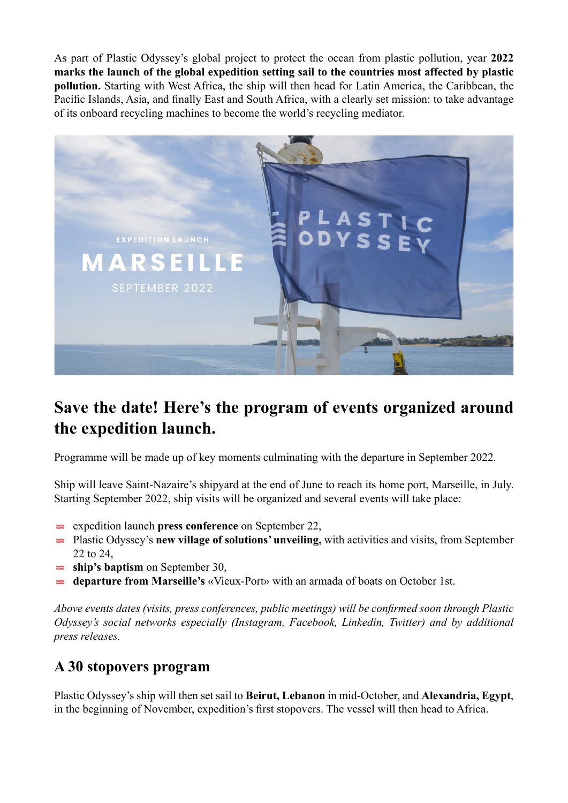As part of Plastic Odyssey's global project to protect the ocean from plastic pollution, year **2022 marks the launch of the global expedition setting sail to the countries most affected by plastic pollution.** Starting with West Africa, the ship will then head for Latin America, the Caribbean, the Pacific Islands, Asia, and finally East and South Africa, with a clearly set mission: to take advantage of its onboard recycling machines to become the world's recycling mediator.



## **Save the date! Here's the program of events organized around the expedition launch.**

Programme will be made up of key moments culminating with the departure in September 2022.

Ship will leave Saint-Nazaire's shipyard at the end of June to reach its home port, Marseille, in July. Starting September 2022, ship visits will be organized and several events will take place:

- expedition launch **press conference** on September 22,
- Plastic Odyssey's **new village of solutions' unveiling,** with activities and visits, from September 22 to 24,
- ship's baptism on September 30,
- **departure from Marseille's** «Vieux-Port» with an armada of boats on October 1st.

*Above events dates (visits, press conferences, public meetings) will be confirmed soon through Plastic Odyssey's social networks especially (Instagram, Facebook, Linkedin, Twitter) and by additional press releases.*

### **A 30 stopovers program**

Plastic Odyssey's ship will then set sail to **Beirut, Lebanon** in mid-October, and **Alexandria, Egypt**, in the beginning of November, expedition's first stopovers. The vessel will then head to Africa.